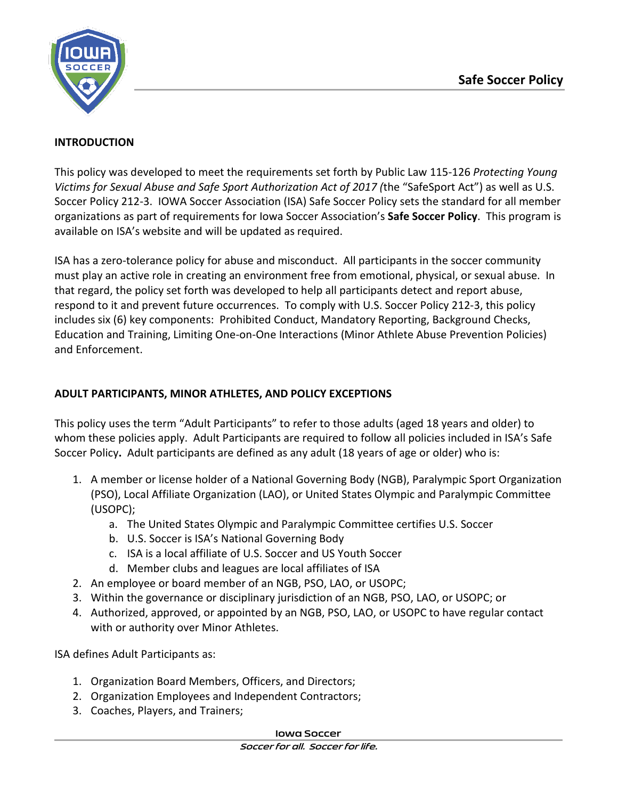

### **INTRODUCTION**

This policy was developed to meet the requirements set forth by Public Law 115-126 *Protecting Young Victims for Sexual Abuse and Safe Sport Authorization Act of 2017 (*the "SafeSport Act") as well as U.S. Soccer Policy 212-3. IOWA Soccer Association (ISA) Safe Soccer Policy sets the standard for all member organizations as part of requirements for Iowa Soccer Association's **Safe Soccer Policy**. This program is available on ISA's website and will be updated as required.

ISA has a zero-tolerance policy for abuse and misconduct. All participants in the soccer community must play an active role in creating an environment free from emotional, physical, or sexual abuse. In that regard, the policy set forth was developed to help all participants detect and report abuse, respond to it and prevent future occurrences. To comply with U.S. Soccer Policy 212-3, this policy includes six (6) key components: Prohibited Conduct, Mandatory Reporting, Background Checks, Education and Training, Limiting One-on-One Interactions (Minor Athlete Abuse Prevention Policies) and Enforcement.

## **ADULT PARTICIPANTS, MINOR ATHLETES, AND POLICY EXCEPTIONS**

This policy uses the term "Adult Participants" to refer to those adults (aged 18 years and older) to whom these policies apply. Adult Participants are required to follow all policies included in ISA's Safe Soccer Policy**.** Adult participants are defined as any adult (18 years of age or older) who is:

- 1. A member or license holder of a National Governing Body (NGB), Paralympic Sport Organization (PSO), Local Affiliate Organization (LAO), or United States Olympic and Paralympic Committee (USOPC);
	- a. The United States Olympic and Paralympic Committee certifies U.S. Soccer
	- b. U.S. Soccer is ISA's National Governing Body
	- c. ISA is a local affiliate of U.S. Soccer and US Youth Soccer
	- d. Member clubs and leagues are local affiliates of ISA
- 2. An employee or board member of an NGB, PSO, LAO, or USOPC;
- 3. Within the governance or disciplinary jurisdiction of an NGB, PSO, LAO, or USOPC; or
- 4. Authorized, approved, or appointed by an NGB, PSO, LAO, or USOPC to have regular contact with or authority over Minor Athletes.

ISA defines Adult Participants as:

- 1. Organization Board Members, Officers, and Directors;
- 2. Organization Employees and Independent Contractors;
- 3. Coaches, Players, and Trainers;

#### **Iowa Soccer**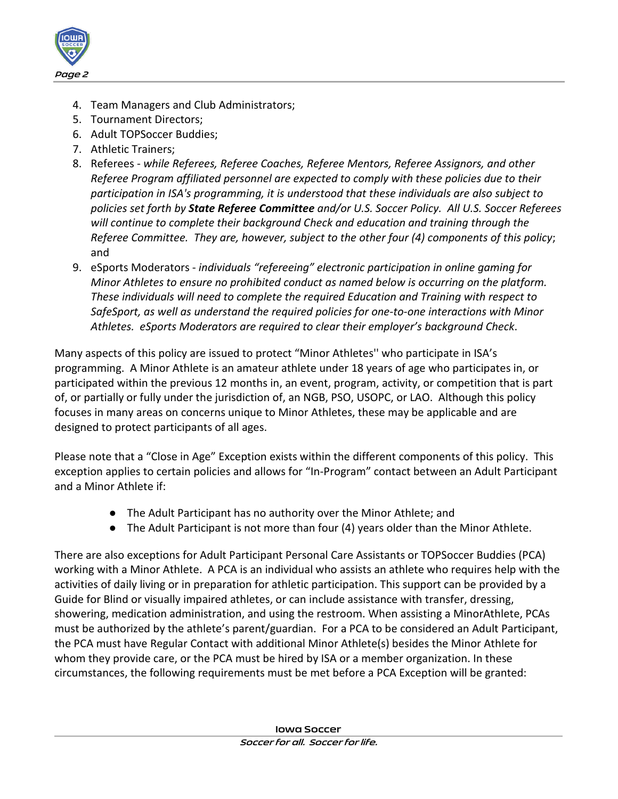

- 4. Team Managers and Club Administrators;
- 5. Tournament Directors;
- 6. Adult TOPSoccer Buddies;
- 7. Athletic Trainers;
- 8. Referees *while Referees, Referee Coaches, Referee Mentors, Referee Assignors, and other Referee Program affiliated personnel are expected to comply with these policies due to their participation in ISA's programming, it is understood that these individuals are also subject to policies set forth by State Referee Committee and/or U.S. Soccer Policy. All U.S. Soccer Referees will continue to complete their background Check and education and training through the Referee Committee. They are, however, subject to the other four (4) components of this policy*; and
- 9. eSports Moderators *individuals "refereeing" electronic participation in online gaming for Minor Athletes to ensure no prohibited conduct as named below is occurring on the platform. These individuals will need to complete the required Education and Training with respect to SafeSport, as well as understand the required policies for one-to-one interactions with Minor Athletes. eSports Moderators are required to clear their employer's background Check*.

Many aspects of this policy are issued to protect "Minor Athletes'' who participate in ISA's programming. A Minor Athlete is an amateur athlete under 18 years of age who participates in, or participated within the previous 12 months in, an event, program, activity, or competition that is part of, or partially or fully under the jurisdiction of, an NGB, PSO, USOPC, or LAO. Although this policy focuses in many areas on concerns unique to Minor Athletes, these may be applicable and are designed to protect participants of all ages.

Please note that a "Close in Age" Exception exists within the different components of this policy. This exception applies to certain policies and allows for "In-Program" contact between an Adult Participant and a Minor Athlete if:

- The Adult Participant has no authority over the Minor Athlete; and
- The Adult Participant is not more than four (4) years older than the Minor Athlete.

There are also exceptions for Adult Participant Personal Care Assistants or TOPSoccer Buddies (PCA) working with a Minor Athlete. A PCA is an individual who assists an athlete who requires help with the activities of daily living or in preparation for athletic participation. This support can be provided by a Guide for Blind or visually impaired athletes, or can include assistance with transfer, dressing, showering, medication administration, and using the restroom. When assisting a MinorAthlete, PCAs must be authorized by the athlete's parent/guardian. For a PCA to be considered an Adult Participant, the PCA must have Regular Contact with additional Minor Athlete(s) besides the Minor Athlete for whom they provide care, or the PCA must be hired by ISA or a member organization. In these circumstances, the following requirements must be met before a PCA Exception will be granted: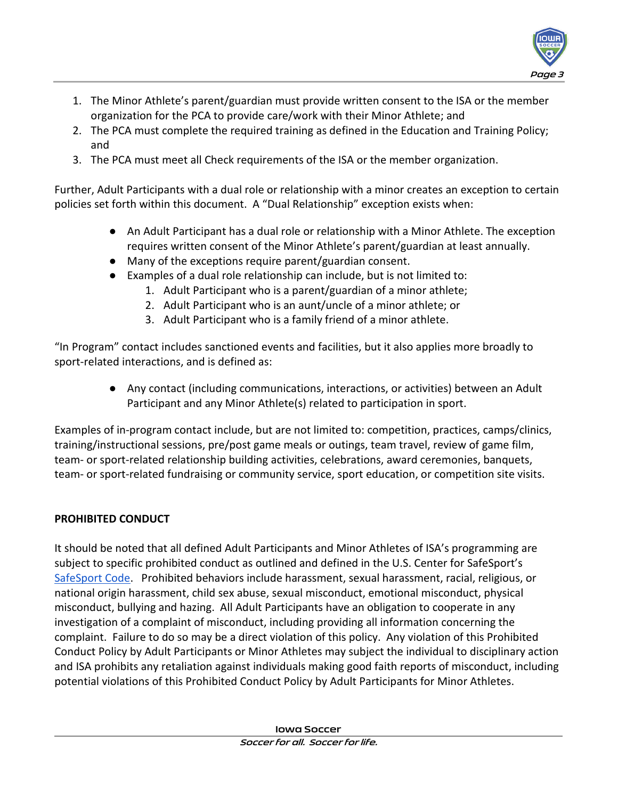

- 1. The Minor Athlete's parent/guardian must provide written consent to the ISA or the member organization for the PCA to provide care/work with their Minor Athlete; and
- 2. The PCA must complete the required training as defined in the Education and Training Policy; and
- 3. The PCA must meet all Check requirements of the ISA or the member organization.

Further, Adult Participants with a dual role or relationship with a minor creates an exception to certain policies set forth within this document. A "Dual Relationship" exception exists when:

- An Adult Participant has a dual role or relationship with a Minor Athlete. The exception requires written consent of the Minor Athlete's parent/guardian at least annually.
- Many of the exceptions require parent/guardian consent.
- Examples of a dual role relationship can include, but is not limited to:
	- 1. Adult Participant who is a parent/guardian of a minor athlete;
	- 2. Adult Participant who is an aunt/uncle of a minor athlete; or
	- 3. Adult Participant who is a family friend of a minor athlete.

"In Program" contact includes sanctioned events and facilities, but it also applies more broadly to sport-related interactions, and is defined as:

> ● Any contact (including communications, interactions, or activities) between an Adult Participant and any Minor Athlete(s) related to participation in sport.

Examples of in-program contact include, but are not limited to: competition, practices, camps/clinics, training/instructional sessions, pre/post game meals or outings, team travel, review of game film, team- or sport-related relationship building activities, celebrations, award ceremonies, banquets, team- or sport-related fundraising or community service, sport education, or competition site visits.

# **PROHIBITED CONDUCT**

It should be noted that all defined Adult Participants and Minor Athletes of ISA's programming are subject to specific prohibited conduct as outlined and defined in the U.S. Center for SafeSport'[s](https://uscenterforsafesport.org/wp-content/uploads/2020/03/2020-SafeSport-Code-04.01.20.pdf) [SafeSport Code.](https://uscenterforsafesport.org/wp-content/uploads/2020/03/2020-SafeSport-Code-04.01.20.pdf) Prohibited behaviors include harassment, sexual harassment, racial, religious, or national origin harassment, child sex abuse, sexual misconduct, emotional misconduct, physical misconduct, bullying and hazing. All Adult Participants have an obligation to cooperate in any investigation of a complaint of misconduct, including providing all information concerning the complaint. Failure to do so may be a direct violation of this policy. Any violation of this Prohibited Conduct Policy by Adult Participants or Minor Athletes may subject the individual to disciplinary action and ISA prohibits any retaliation against individuals making good faith reports of misconduct, including potential violations of this Prohibited Conduct Policy by Adult Participants for Minor Athletes.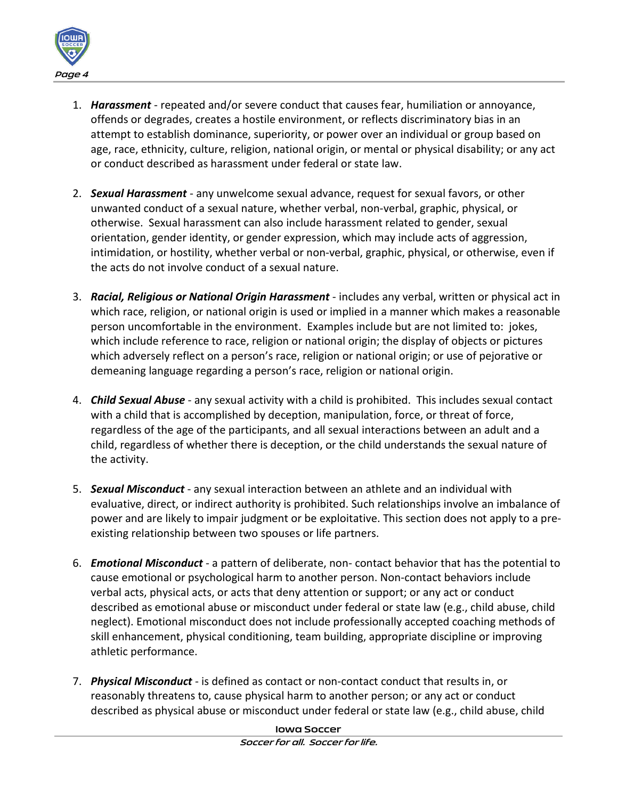

- 1. *Harassment* repeated and/or severe conduct that causes fear, humiliation or annoyance, offends or degrades, creates a hostile environment, or reflects discriminatory bias in an attempt to establish dominance, superiority, or power over an individual or group based on age, race, ethnicity, culture, religion, national origin, or mental or physical disability; or any act or conduct described as harassment under federal or state law.
- 2. *Sexual Harassment* any unwelcome sexual advance, request for sexual favors, or other unwanted conduct of a sexual nature, whether verbal, non-verbal, graphic, physical, or otherwise. Sexual harassment can also include harassment related to gender, sexual orientation, gender identity, or gender expression, which may include acts of aggression, intimidation, or hostility, whether verbal or non-verbal, graphic, physical, or otherwise, even if the acts do not involve conduct of a sexual nature.
- 3. *Racial, Religious or National Origin Harassment* includes any verbal, written or physical act in which race, religion, or national origin is used or implied in a manner which makes a reasonable person uncomfortable in the environment. Examples include but are not limited to: jokes, which include reference to race, religion or national origin; the display of objects or pictures which adversely reflect on a person's race, religion or national origin; or use of pejorative or demeaning language regarding a person's race, religion or national origin.
- 4. *Child Sexual Abuse* any sexual activity with a child is prohibited. This includes sexual contact with a child that is accomplished by deception, manipulation, force, or threat of force, regardless of the age of the participants, and all sexual interactions between an adult and a child, regardless of whether there is deception, or the child understands the sexual nature of the activity.
- 5. *Sexual Misconduct*  any sexual interaction between an athlete and an individual with evaluative, direct, or indirect authority is prohibited. Such relationships involve an imbalance of power and are likely to impair judgment or be exploitative. This section does not apply to a preexisting relationship between two spouses or life partners.
- 6. *Emotional Misconduct* a pattern of deliberate, non- contact behavior that has the potential to cause emotional or psychological harm to another person. Non-contact behaviors include verbal acts, physical acts, or acts that deny attention or support; or any act or conduct described as emotional abuse or misconduct under federal or state law (e.g., child abuse, child neglect). Emotional misconduct does not include professionally accepted coaching methods of skill enhancement, physical conditioning, team building, appropriate discipline or improving athletic performance.
- 7. *Physical Misconduct* is defined as contact or non-contact conduct that results in, or reasonably threatens to, cause physical harm to another person; or any act or conduct described as physical abuse or misconduct under federal or state law (e.g., child abuse, child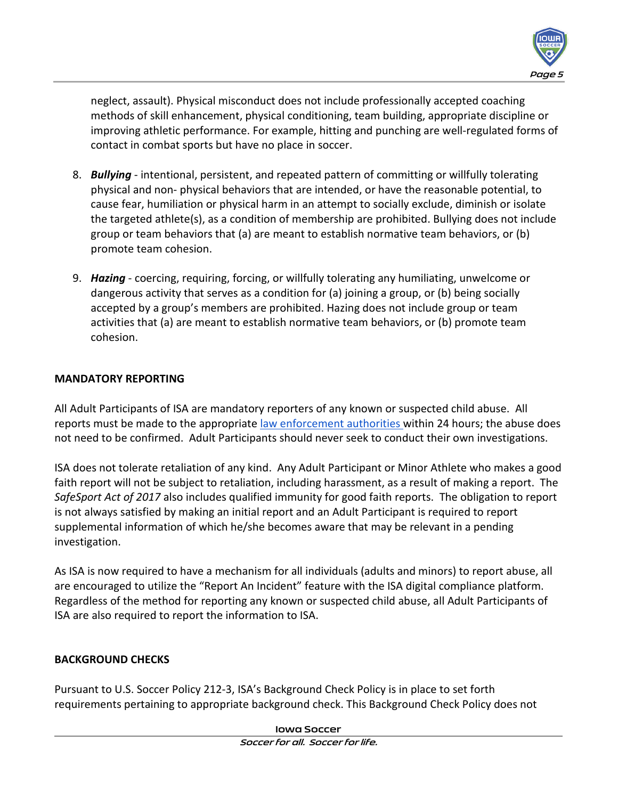

neglect, assault). Physical misconduct does not include professionally accepted coaching methods of skill enhancement, physical conditioning, team building, appropriate discipline or improving athletic performance. For example, hitting and punching are well-regulated forms of contact in combat sports but have no place in soccer.

- 8. *Bullying* intentional, persistent, and repeated pattern of committing or willfully tolerating physical and non- physical behaviors that are intended, or have the reasonable potential, to cause fear, humiliation or physical harm in an attempt to socially exclude, diminish or isolate the targeted athlete(s), as a condition of membership are prohibited. Bullying does not include group or team behaviors that (a) are meant to establish normative team behaviors, or (b) promote team cohesion.
- 9. *Hazing* coercing, requiring, forcing, or willfully tolerating any humiliating, unwelcome or dangerous activity that serves as a condition for (a) joining a group, or (b) being socially accepted by a group's members are prohibited. Hazing does not include group or team activities that (a) are meant to establish normative team behaviors, or (b) promote team cohesion.

## **MANDATORY REPORTING**

All Adult Participants of ISA are mandatory reporters of any known or suspected child abuse. All reports must be made to the appropriate [law enforcement authorities](http://childwelfare.gov/topics/responding/reporting/how/) within 24 hours; the abuse does not need to be confirmed. Adult Participants should never seek to conduct their own investigations.

ISA does not tolerate retaliation of any kind. Any Adult Participant or Minor Athlete who makes a good faith report will not be subject to retaliation, including harassment, as a result of making a report. The *SafeSport Act of 2017* also includes qualified immunity for good faith reports. The obligation to report is not always satisfied by making an initial report and an Adult Participant is required to report supplemental information of which he/she becomes aware that may be relevant in a pending investigation.

As ISA is now required to have a mechanism for all individuals (adults and minors) to report abuse, all are encouraged to utilize the "Report An Incident" feature with the ISA digital compliance platform. Regardless of the method for reporting any known or suspected child abuse, all Adult Participants of ISA are also required to report the information to ISA.

# **BACKGROUND CHECKS**

Pursuant to U.S. Soccer Policy 212-3, ISA's Background Check Policy is in place to set forth requirements pertaining to appropriate background check. This Background Check Policy does not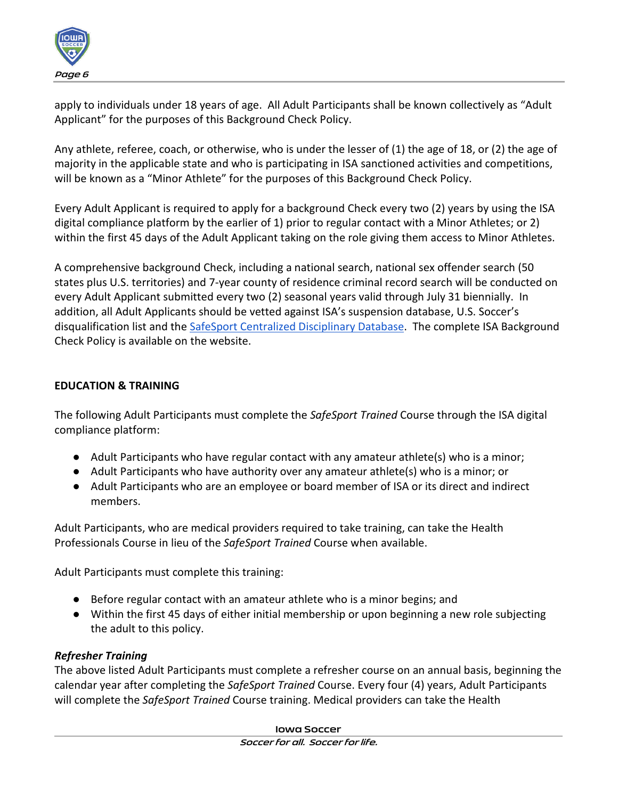

apply to individuals under 18 years of age. All Adult Participants shall be known collectively as "Adult Applicant" for the purposes of this Background Check Policy.

Any athlete, referee, coach, or otherwise, who is under the lesser of (1) the age of 18, or (2) the age of majority in the applicable state and who is participating in ISA sanctioned activities and competitions, will be known as a "Minor Athlete" for the purposes of this Background Check Policy.

Every Adult Applicant is required to apply for a background Check every two (2) years by using the ISA digital compliance platform by the earlier of 1) prior to regular contact with a Minor Athletes; or 2) within the first 45 days of the Adult Applicant taking on the role giving them access to Minor Athletes.

A comprehensive background Check, including a national search, national sex offender search (50 states plus U.S. territories) and 7-year county of residence criminal record search will be conducted on every Adult Applicant submitted every two (2) seasonal years valid through July 31 biennially. In addition, all Adult Applicants should be vetted against ISA's suspension database, U.S. Soccer's disqualification list and th[e](https://uscenterforsafesport.org/response-and-resolution/disciplinary-database/) **SafeSport Centralized Disciplinary Database**. The complete ISA Background Check Policy is available on the website.

#### **EDUCATION & TRAINING**

The following Adult Participants must complete the *SafeSport Trained* Course through the ISA digital compliance platform:

- Adult Participants who have regular contact with any amateur athlete(s) who is a minor;
- Adult Participants who have authority over any amateur athlete(s) who is a minor; or
- Adult Participants who are an employee or board member of ISA or its direct and indirect members.

Adult Participants, who are medical providers required to take training, can take the Health Professionals Course in lieu of the *SafeSport Trained* Course when available.

Adult Participants must complete this training:

- Before regular contact with an amateur athlete who is a minor begins; and
- Within the first 45 days of either initial membership or upon beginning a new role subjecting the adult to this policy.

#### *Refresher Training*

The above listed Adult Participants must complete a refresher course on an annual basis, beginning the calendar year after completing the *SafeSport Trained* Course. Every four (4) years, Adult Participants will complete the *SafeSport Trained* Course training. Medical providers can take the Health

> **Iowa Soccer Soccer for all. Soccer for life.**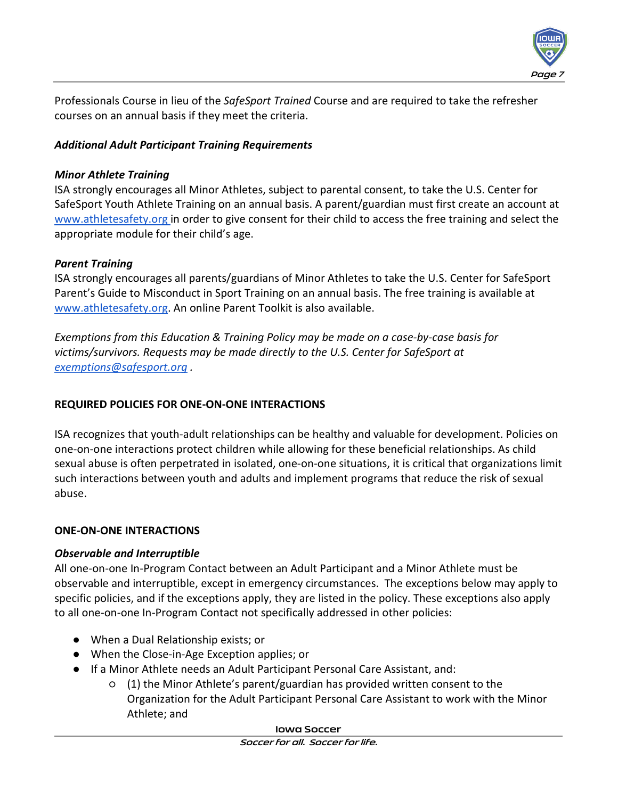

Professionals Course in lieu of the *SafeSport Trained* Course and are required to take the refresher courses on an annual basis if they meet the criteria.

## *Additional Adult Participant Training Requirements*

### *Minor Athlete Training*

ISA strongly encourages all Minor Athletes, subject to parental consent, to take the U.S. Center for SafeSport Youth Athlete Training on an annual basis. A parent/guardian must first create an account a[t](http://www.athletesafety.org/) [www.athletesafety.org](http://www.athletesafety.org/) in order to give consent for their child to access the free training and select the appropriate module for their child's age.

## *Parent Training*

ISA strongly encourages all parents/guardians of Minor Athletes to take the U.S. Center for SafeSport Parent's Guide to Misconduct in Sport Training on an annual basis. The free training is available a[t](http://www.athletesafety.org/) [www.athletesafety.org.](http://www.athletesafety.org/) An online Parent Toolkit is also available.

*Exemptions from this Education & Training Policy may be made on a case-by-case basis for victims/survivors. Requests may be made directly to the U.S. Center for SafeSport at [exemptions@safesport.org](mailto:exemptions@safesport.org) .* 

## **REQUIRED POLICIES FOR ONE-ON-ONE INTERACTIONS**

ISA recognizes that youth-adult relationships can be healthy and valuable for development. Policies on one-on-one interactions protect children while allowing for these beneficial relationships. As child sexual abuse is often perpetrated in isolated, one-on-one situations, it is critical that organizations limit such interactions between youth and adults and implement programs that reduce the risk of sexual abuse.

## **ONE-ON-ONE INTERACTIONS**

## *Observable and Interruptible*

All one-on-one In-Program Contact between an Adult Participant and a Minor Athlete must be observable and interruptible, except in emergency circumstances. The exceptions below may apply to specific policies, and if the exceptions apply, they are listed in the policy. These exceptions also apply to all one-on-one In-Program Contact not specifically addressed in other policies:

- When a Dual Relationship exists; or
- When the Close-in-Age Exception applies; or
- If a Minor Athlete needs an Adult Participant Personal Care Assistant, and:
	- (1) the Minor Athlete's parent/guardian has provided written consent to the Organization for the Adult Participant Personal Care Assistant to work with the Minor Athlete; and

#### **Iowa Soccer**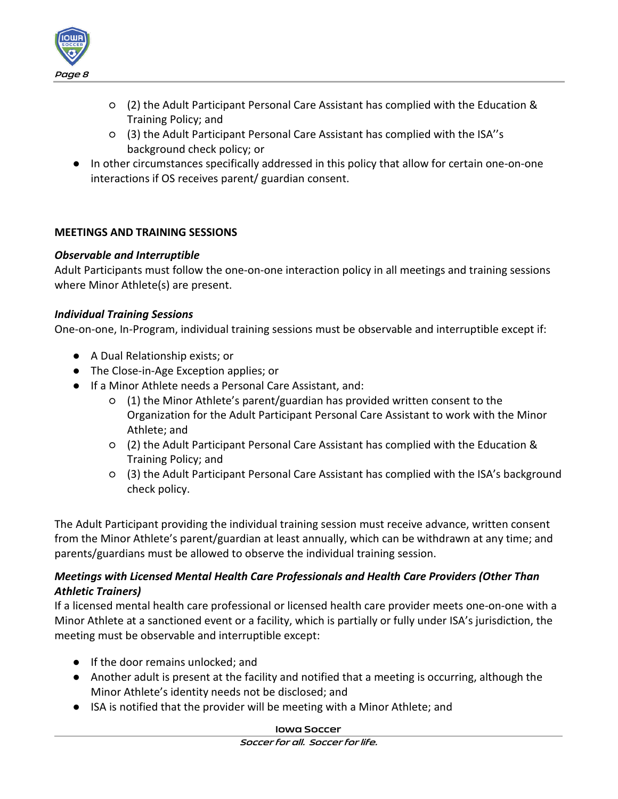

- (2) the Adult Participant Personal Care Assistant has complied with the Education & Training Policy; and
- (3) the Adult Participant Personal Care Assistant has complied with the ISA''s background check policy; or
- In other circumstances specifically addressed in this policy that allow for certain one-on-one interactions if OS receives parent/ guardian consent.

#### **MEETINGS AND TRAINING SESSIONS**

#### *Observable and Interruptible*

Adult Participants must follow the one-on-one interaction policy in all meetings and training sessions where Minor Athlete(s) are present.

#### *Individual Training Sessions*

One-on-one, In-Program, individual training sessions must be observable and interruptible except if:

- A Dual Relationship exists; or
- The Close-in-Age Exception applies; or
- If a Minor Athlete needs a Personal Care Assistant, and:
	- (1) the Minor Athlete's parent/guardian has provided written consent to the Organization for the Adult Participant Personal Care Assistant to work with the Minor Athlete; and
	- (2) the Adult Participant Personal Care Assistant has complied with the Education & Training Policy; and
	- (3) the Adult Participant Personal Care Assistant has complied with the ISA's background check policy.

The Adult Participant providing the individual training session must receive advance, written consent from the Minor Athlete's parent/guardian at least annually, which can be withdrawn at any time; and parents/guardians must be allowed to observe the individual training session.

## *Meetings with Licensed Mental Health Care Professionals and Health Care Providers (Other Than Athletic Trainers)*

If a licensed mental health care professional or licensed health care provider meets one-on-one with a Minor Athlete at a sanctioned event or a facility, which is partially or fully under ISA's jurisdiction, the meeting must be observable and interruptible except:

- If the door remains unlocked; and
- Another adult is present at the facility and notified that a meeting is occurring, although the Minor Athlete's identity needs not be disclosed; and
- ISA is notified that the provider will be meeting with a Minor Athlete; and

#### **Iowa Soccer**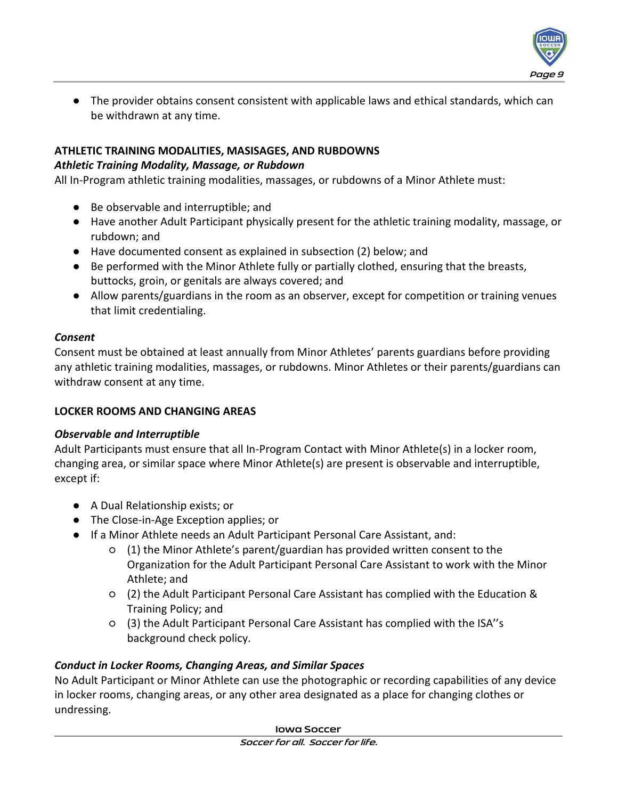

● The provider obtains consent consistent with applicable laws and ethical standards, which can be withdrawn at any time.

### **ATHLETIC TRAINING MODALITIES, MASISAGES, AND RUBDOWNS**

#### *Athletic Training Modality, Massage, or Rubdown*

All In-Program athletic training modalities, massages, or rubdowns of a Minor Athlete must:

- Be observable and interruptible; and
- Have another Adult Participant physically present for the athletic training modality, massage, or rubdown; and
- Have documented consent as explained in subsection (2) below; and
- Be performed with the Minor Athlete fully or partially clothed, ensuring that the breasts, buttocks, groin, or genitals are always covered; and
- Allow parents/guardians in the room as an observer, except for competition or training venues that limit credentialing.

#### *Consent*

Consent must be obtained at least annually from Minor Athletes' parents guardians before providing any athletic training modalities, massages, or rubdowns. Minor Athletes or their parents/guardians can withdraw consent at any time.

## **LOCKER ROOMS AND CHANGING AREAS**

## *Observable and Interruptible*

Adult Participants must ensure that all In-Program Contact with Minor Athlete(s) in a locker room, changing area, or similar space where Minor Athlete(s) are present is observable and interruptible, except if:

- A Dual Relationship exists; or
- The Close-in-Age Exception applies; or
- If a Minor Athlete needs an Adult Participant Personal Care Assistant, and:
	- (1) the Minor Athlete's parent/guardian has provided written consent to the Organization for the Adult Participant Personal Care Assistant to work with the Minor Athlete; and
	- (2) the Adult Participant Personal Care Assistant has complied with the Education & Training Policy; and
	- (3) the Adult Participant Personal Care Assistant has complied with the ISA''s background check policy.

# *Conduct in Locker Rooms, Changing Areas, and Similar Spaces*

No Adult Participant or Minor Athlete can use the photographic or recording capabilities of any device in locker rooms, changing areas, or any other area designated as a place for changing clothes or undressing.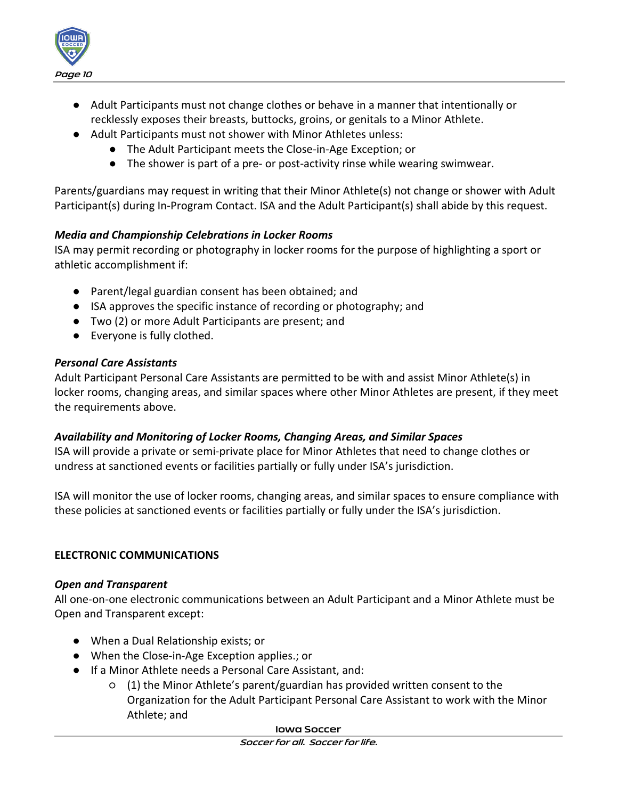

- Adult Participants must not change clothes or behave in a manner that intentionally or recklessly exposes their breasts, buttocks, groins, or genitals to a Minor Athlete.
- Adult Participants must not shower with Minor Athletes unless:
	- The Adult Participant meets the Close-in-Age Exception; or
	- The shower is part of a pre- or post-activity rinse while wearing swimwear.

Parents/guardians may request in writing that their Minor Athlete(s) not change or shower with Adult Participant(s) during In-Program Contact. ISA and the Adult Participant(s) shall abide by this request.

## *Media and Championship Celebrations in Locker Rooms*

ISA may permit recording or photography in locker rooms for the purpose of highlighting a sport or athletic accomplishment if:

- Parent/legal guardian consent has been obtained; and
- ISA approves the specific instance of recording or photography; and
- Two (2) or more Adult Participants are present; and
- Everyone is fully clothed.

#### *Personal Care Assistants*

Adult Participant Personal Care Assistants are permitted to be with and assist Minor Athlete(s) in locker rooms, changing areas, and similar spaces where other Minor Athletes are present, if they meet the requirements above.

#### *Availability and Monitoring of Locker Rooms, Changing Areas, and Similar Spaces*

ISA will provide a private or semi-private place for Minor Athletes that need to change clothes or undress at sanctioned events or facilities partially or fully under ISA's jurisdiction.

ISA will monitor the use of locker rooms, changing areas, and similar spaces to ensure compliance with these policies at sanctioned events or facilities partially or fully under the ISA's jurisdiction.

## **ELECTRONIC COMMUNICATIONS**

#### *Open and Transparent*

All one-on-one electronic communications between an Adult Participant and a Minor Athlete must be Open and Transparent except:

- When a Dual Relationship exists; or
- When the Close-in-Age Exception applies.; or
- If a Minor Athlete needs a Personal Care Assistant, and:
	- (1) the Minor Athlete's parent/guardian has provided written consent to the Organization for the Adult Participant Personal Care Assistant to work with the Minor Athlete; and

#### **Iowa Soccer**

**Soccer for all. Soccer for life.**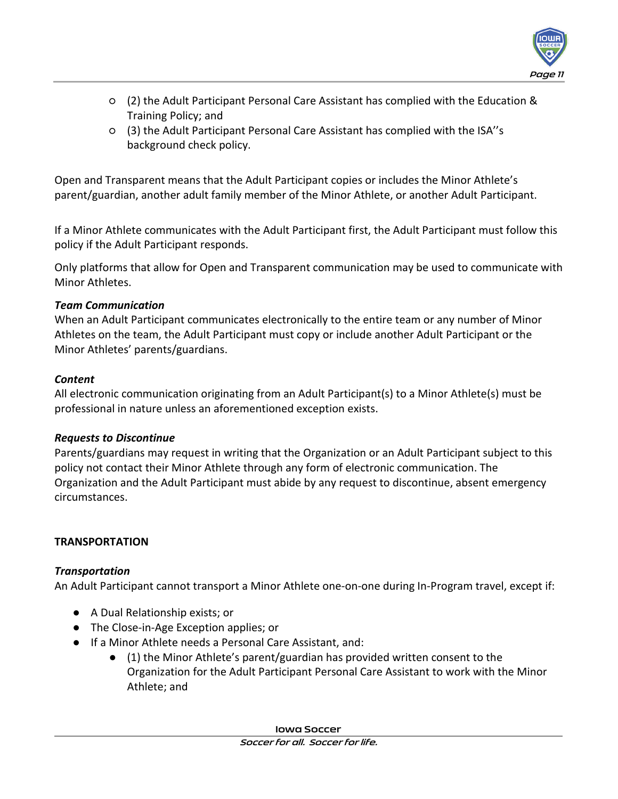

- (2) the Adult Participant Personal Care Assistant has complied with the Education & Training Policy; and
- (3) the Adult Participant Personal Care Assistant has complied with the ISA''s background check policy.

Open and Transparent means that the Adult Participant copies or includes the Minor Athlete's parent/guardian, another adult family member of the Minor Athlete, or another Adult Participant.

If a Minor Athlete communicates with the Adult Participant first, the Adult Participant must follow this policy if the Adult Participant responds.

Only platforms that allow for Open and Transparent communication may be used to communicate with Minor Athletes.

## *Team Communication*

When an Adult Participant communicates electronically to the entire team or any number of Minor Athletes on the team, the Adult Participant must copy or include another Adult Participant or the Minor Athletes' parents/guardians.

# *Content*

All electronic communication originating from an Adult Participant(s) to a Minor Athlete(s) must be professional in nature unless an aforementioned exception exists.

# *Requests to Discontinue*

Parents/guardians may request in writing that the Organization or an Adult Participant subject to this policy not contact their Minor Athlete through any form of electronic communication. The Organization and the Adult Participant must abide by any request to discontinue, absent emergency circumstances.

# **TRANSPORTATION**

# *Transportation*

An Adult Participant cannot transport a Minor Athlete one-on-one during In-Program travel, except if:

- A Dual Relationship exists; or
- The Close-in-Age Exception applies; or
- If a Minor Athlete needs a Personal Care Assistant, and:
	- (1) the Minor Athlete's parent/guardian has provided written consent to the Organization for the Adult Participant Personal Care Assistant to work with the Minor Athlete; and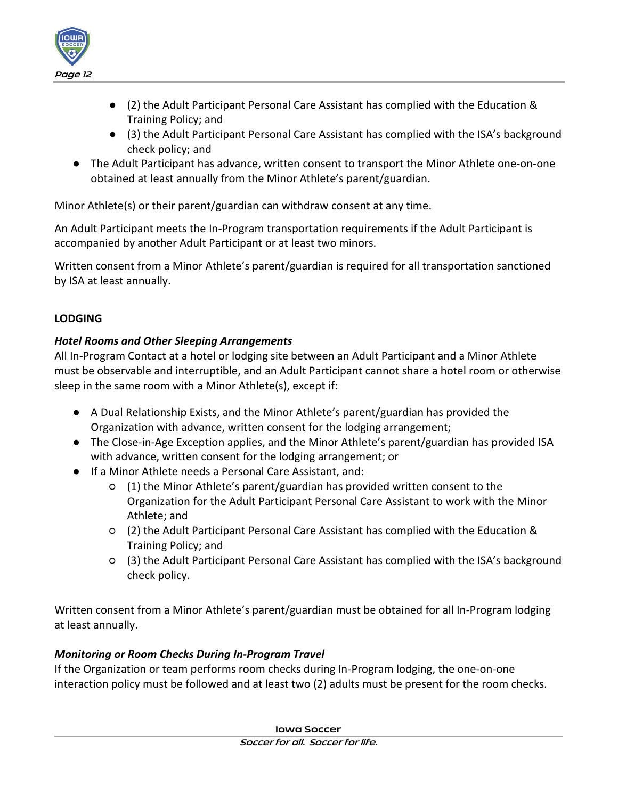

- (2) the Adult Participant Personal Care Assistant has complied with the Education & Training Policy; and
- (3) the Adult Participant Personal Care Assistant has complied with the ISA's background check policy; and
- The Adult Participant has advance, written consent to transport the Minor Athlete one-on-one obtained at least annually from the Minor Athlete's parent/guardian.

Minor Athlete(s) or their parent/guardian can withdraw consent at any time.

An Adult Participant meets the In-Program transportation requirements if the Adult Participant is accompanied by another Adult Participant or at least two minors.

Written consent from a Minor Athlete's parent/guardian is required for all transportation sanctioned by ISA at least annually.

## **LODGING**

## *Hotel Rooms and Other Sleeping Arrangements*

All In-Program Contact at a hotel or lodging site between an Adult Participant and a Minor Athlete must be observable and interruptible, and an Adult Participant cannot share a hotel room or otherwise sleep in the same room with a Minor Athlete(s), except if:

- A Dual Relationship Exists, and the Minor Athlete's parent/guardian has provided the Organization with advance, written consent for the lodging arrangement;
- The Close-in-Age Exception applies, and the Minor Athlete's parent/guardian has provided ISA with advance, written consent for the lodging arrangement; or
- If a Minor Athlete needs a Personal Care Assistant, and:
	- (1) the Minor Athlete's parent/guardian has provided written consent to the Organization for the Adult Participant Personal Care Assistant to work with the Minor Athlete; and
	- (2) the Adult Participant Personal Care Assistant has complied with the Education & Training Policy; and
	- (3) the Adult Participant Personal Care Assistant has complied with the ISA's background check policy.

Written consent from a Minor Athlete's parent/guardian must be obtained for all In-Program lodging at least annually.

## *Monitoring or Room Checks During In-Program Travel*

If the Organization or team performs room checks during In-Program lodging, the one-on-one interaction policy must be followed and at least two (2) adults must be present for the room checks.